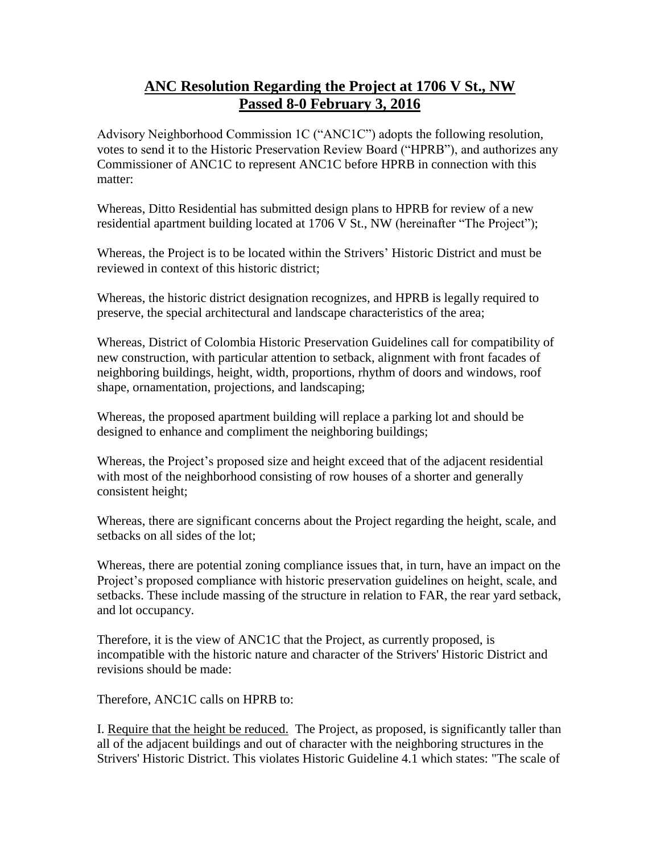## **ANC Resolution Regarding the Project at 1706 V St., NW Passed 8-0 February 3, 2016**

Advisory Neighborhood Commission 1C ("ANC1C") adopts the following resolution, votes to send it to the Historic Preservation Review Board ("HPRB"), and authorizes any Commissioner of ANC1C to represent ANC1C before HPRB in connection with this matter:

Whereas, Ditto Residential has submitted design plans to HPRB for review of a new residential apartment building located at 1706 V St., NW (hereinafter "The Project");

Whereas, the Project is to be located within the Strivers' Historic District and must be reviewed in context of this historic district;

Whereas, the historic district designation recognizes, and HPRB is legally required to preserve, the special architectural and landscape characteristics of the area;

Whereas, District of Colombia Historic Preservation Guidelines call for compatibility of new construction, with particular attention to setback, alignment with front facades of neighboring buildings, height, width, proportions, rhythm of doors and windows, roof shape, ornamentation, projections, and landscaping;

Whereas, the proposed apartment building will replace a parking lot and should be designed to enhance and compliment the neighboring buildings;

Whereas, the Project's proposed size and height exceed that of the adjacent residential with most of the neighborhood consisting of row houses of a shorter and generally consistent height;

Whereas, there are significant concerns about the Project regarding the height, scale, and setbacks on all sides of the lot;

Whereas, there are potential zoning compliance issues that, in turn, have an impact on the Project's proposed compliance with historic preservation guidelines on height, scale, and setbacks. These include massing of the structure in relation to FAR, the rear yard setback, and lot occupancy.

Therefore, it is the view of ANC1C that the Project, as currently proposed, is incompatible with the historic nature and character of the Strivers' Historic District and revisions should be made:

Therefore, ANC1C calls on HPRB to:

I. Require that the height be reduced. The Project, as proposed, is significantly taller than all of the adjacent buildings and out of character with the neighboring structures in the Strivers' Historic District. This violates Historic Guideline 4.1 which states: "The scale of